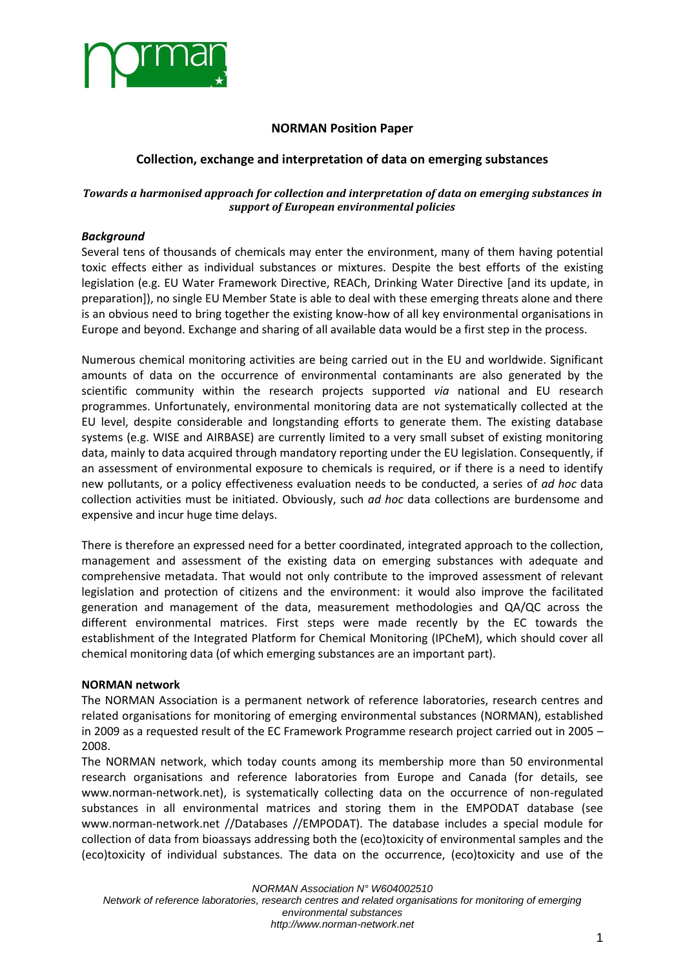

# **NORMAN Position Paper**

# **Collection, exchange and interpretation of data on emerging substances**

### *Towards a harmonised approach for collection and interpretation of data on emerging substances in support of European environmental policies*

### *Background*

Several tens of thousands of chemicals may enter the environment, many of them having potential toxic effects either as individual substances or mixtures. Despite the best efforts of the existing legislation (e.g. EU Water Framework Directive, REACh, Drinking Water Directive [and its update, in preparation]), no single EU Member State is able to deal with these emerging threats alone and there is an obvious need to bring together the existing know-how of all key environmental organisations in Europe and beyond. Exchange and sharing of all available data would be a first step in the process.

Numerous chemical monitoring activities are being carried out in the EU and worldwide. Significant amounts of data on the occurrence of environmental contaminants are also generated by the scientific community within the research projects supported *via* national and EU research programmes. Unfortunately, environmental monitoring data are not systematically collected at the EU level, despite considerable and longstanding efforts to generate them. The existing database systems (e.g. WISE and AIRBASE) are currently limited to a very small subset of existing monitoring data, mainly to data acquired through mandatory reporting under the EU legislation. Consequently, if an assessment of environmental exposure to chemicals is required, or if there is a need to identify new pollutants, or a policy effectiveness evaluation needs to be conducted, a series of *ad hoc* data collection activities must be initiated. Obviously, such *ad hoc* data collections are burdensome and expensive and incur huge time delays.

There is therefore an expressed need for a better coordinated, integrated approach to the collection, management and assessment of the existing data on emerging substances with adequate and comprehensive metadata. That would not only contribute to the improved assessment of relevant legislation and protection of citizens and the environment: it would also improve the facilitated generation and management of the data, measurement methodologies and QA/QC across the different environmental matrices. First steps were made recently by the EC towards the establishment of the Integrated Platform for Chemical Monitoring (IPCheM), which should cover all chemical monitoring data (of which emerging substances are an important part).

### **NORMAN network**

The NORMAN Association is a permanent network of reference laboratories, research centres and related organisations for monitoring of emerging environmental substances (NORMAN), established in 2009 as a requested result of the EC Framework Programme research project carried out in 2005 – 2008.

The NORMAN network, which today counts among its membership more than 50 environmental research organisations and reference laboratories from Europe and Canada (for details, see [www.norman-network.net\)](http://www.norman-network.net/), is systematically collecting data on the occurrence of non-regulated substances in all environmental matrices and storing them in the EMPODAT database (see [www.norman-network.net](http://www.norman-network.net/) //Databases //EMPODAT). The database includes a special module for collection of data from bioassays addressing both the (eco)toxicity of environmental samples and the (eco)toxicity of individual substances. The data on the occurrence, (eco)toxicity and use of the

*NORMAN Association N° W604002510 Network of reference laboratories, research centres and related organisations for monitoring of emerging environmental substances http://www.norman-network.net*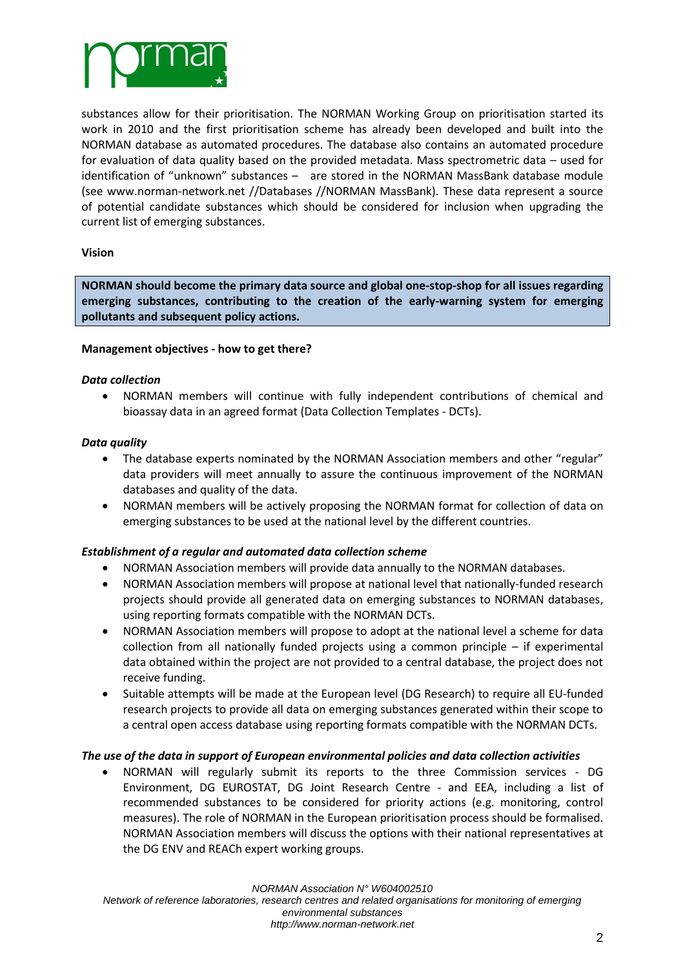

substances allow for their prioritisation. The NORMAN Working Group on prioritisation started its work in 2010 and the first prioritisation scheme has already been developed and built into the NORMAN database as automated procedures. The database also contains an automated procedure for evaluation of data quality based on the provided metadata. Mass spectrometric data – used for identification of "unknown" substances – are stored in the NORMAN MassBank database module (see [www.norman-network.net](http://www.norman-network.net/) //Databases //NORMAN MassBank). These data represent a source of potential candidate substances which should be considered for inclusion when upgrading the current list of emerging substances.

### **Vision**

**NORMAN should become the primary data source and global one-stop-shop for all issues regarding emerging substances, contributing to the creation of the early-warning system for emerging pollutants and subsequent policy actions.**

### **Management objectives - how to get there?**

### *Data collection*

 NORMAN members will continue with fully independent contributions of chemical and bioassay data in an agreed format (Data Collection Templates - DCTs).

### *Data quality*

- The database experts nominated by the NORMAN Association members and other "regular" data providers will meet annually to assure the continuous improvement of the NORMAN databases and quality of the data.
- NORMAN members will be actively proposing the NORMAN format for collection of data on emerging substances to be used at the national level by the different countries.

### *Establishment of a regular and automated data collection scheme*

- NORMAN Association members will provide data annually to the NORMAN databases.
- NORMAN Association members will propose at national level that nationally-funded research projects should provide all generated data on emerging substances to NORMAN databases, using reporting formats compatible with the NORMAN DCTs.
- NORMAN Association members will propose to adopt at the national level a scheme for data collection from all nationally funded projects using a common principle – if experimental data obtained within the project are not provided to a central database, the project does not receive funding.
- Suitable attempts will be made at the European level (DG Research) to require all EU-funded research projects to provide all data on emerging substances generated within their scope to a central open access database using reporting formats compatible with the NORMAN DCTs.

### *The use of the data in support of European environmental policies and data collection activities*

 NORMAN will regularly submit its reports to the three Commission services - DG Environment, DG EUROSTAT, DG Joint Research Centre - and EEA, including a list of recommended substances to be considered for priority actions (e.g. monitoring, control measures). The role of NORMAN in the European prioritisation process should be formalised. NORMAN Association members will discuss the options with their national representatives at the DG ENV and REACh expert working groups.